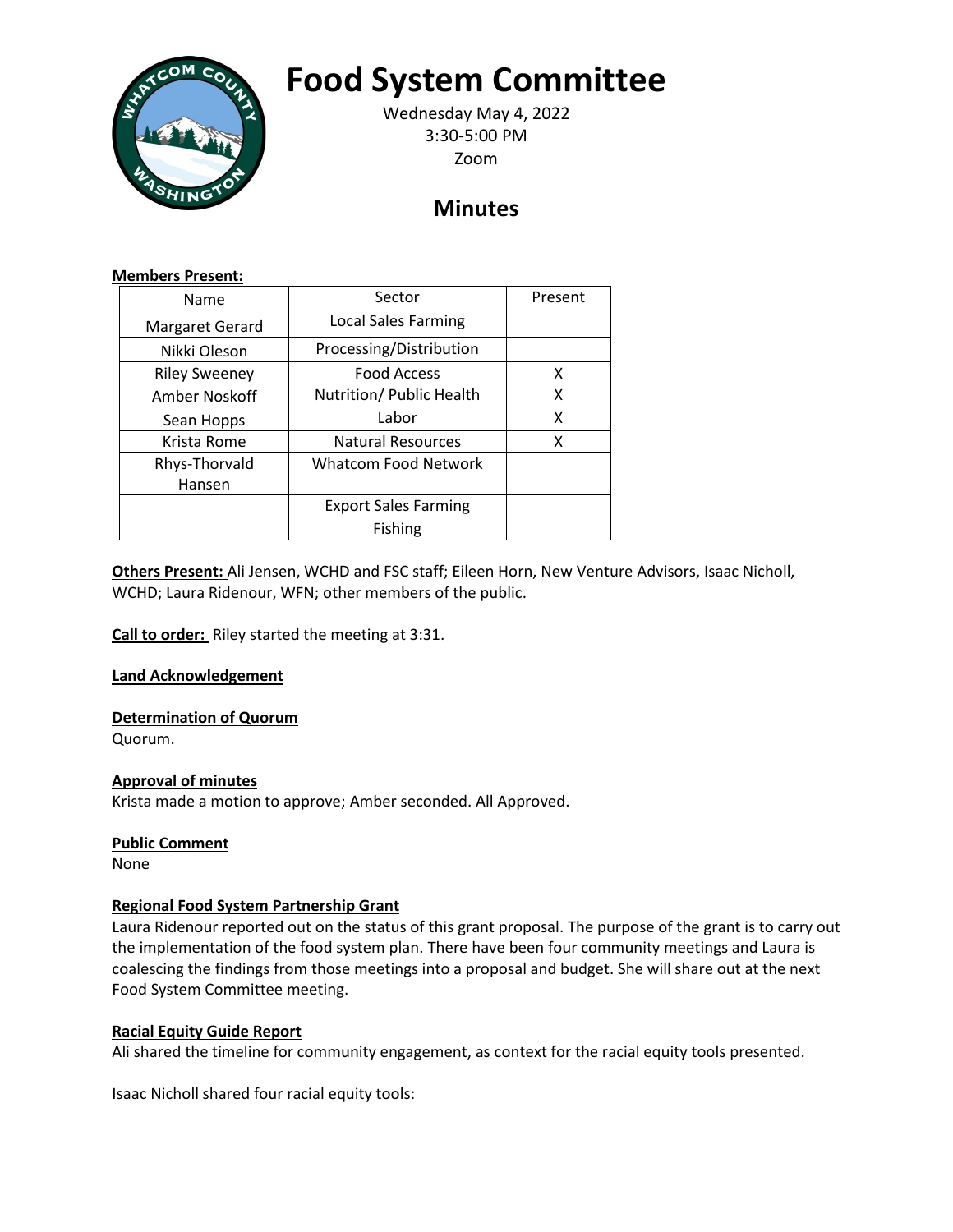

# **Food System Committee**

Wednesday May 4, 2022 3:30-5:00 PM Zoom

# **Minutes**

#### **Members Present:**

| Name                 | Sector                      | Present |
|----------------------|-----------------------------|---------|
| Margaret Gerard      | <b>Local Sales Farming</b>  |         |
| Nikki Oleson         | Processing/Distribution     |         |
| <b>Riley Sweeney</b> | <b>Food Access</b>          | x       |
| Amber Noskoff        | Nutrition/ Public Health    | x       |
| Sean Hopps           | Labor                       | x       |
| Krista Rome          | <b>Natural Resources</b>    | x       |
| Rhys-Thorvald        | <b>Whatcom Food Network</b> |         |
| Hansen               |                             |         |
|                      | <b>Export Sales Farming</b> |         |
|                      | Fishing                     |         |

**Others Present:** Ali Jensen, WCHD and FSC staff; Eileen Horn, New Venture Advisors, Isaac Nicholl, WCHD; Laura Ridenour, WFN; other members of the public.

**Call to order:** Riley started the meeting at 3:31.

**Land Acknowledgement**

# **Determination of Quorum**

Quorum.

# **Approval of minutes**

Krista made a motion to approve; Amber seconded. All Approved.

#### **Public Comment**

None

# **Regional Food System Partnership Grant**

Laura Ridenour reported out on the status of this grant proposal. The purpose of the grant is to carry out the implementation of the food system plan. There have been four community meetings and Laura is coalescing the findings from those meetings into a proposal and budget. She will share out at the next Food System Committee meeting.

# **Racial Equity Guide Report**

Ali shared the timeline for community engagement, as context for the racial equity tools presented.

Isaac Nicholl shared four racial equity tools: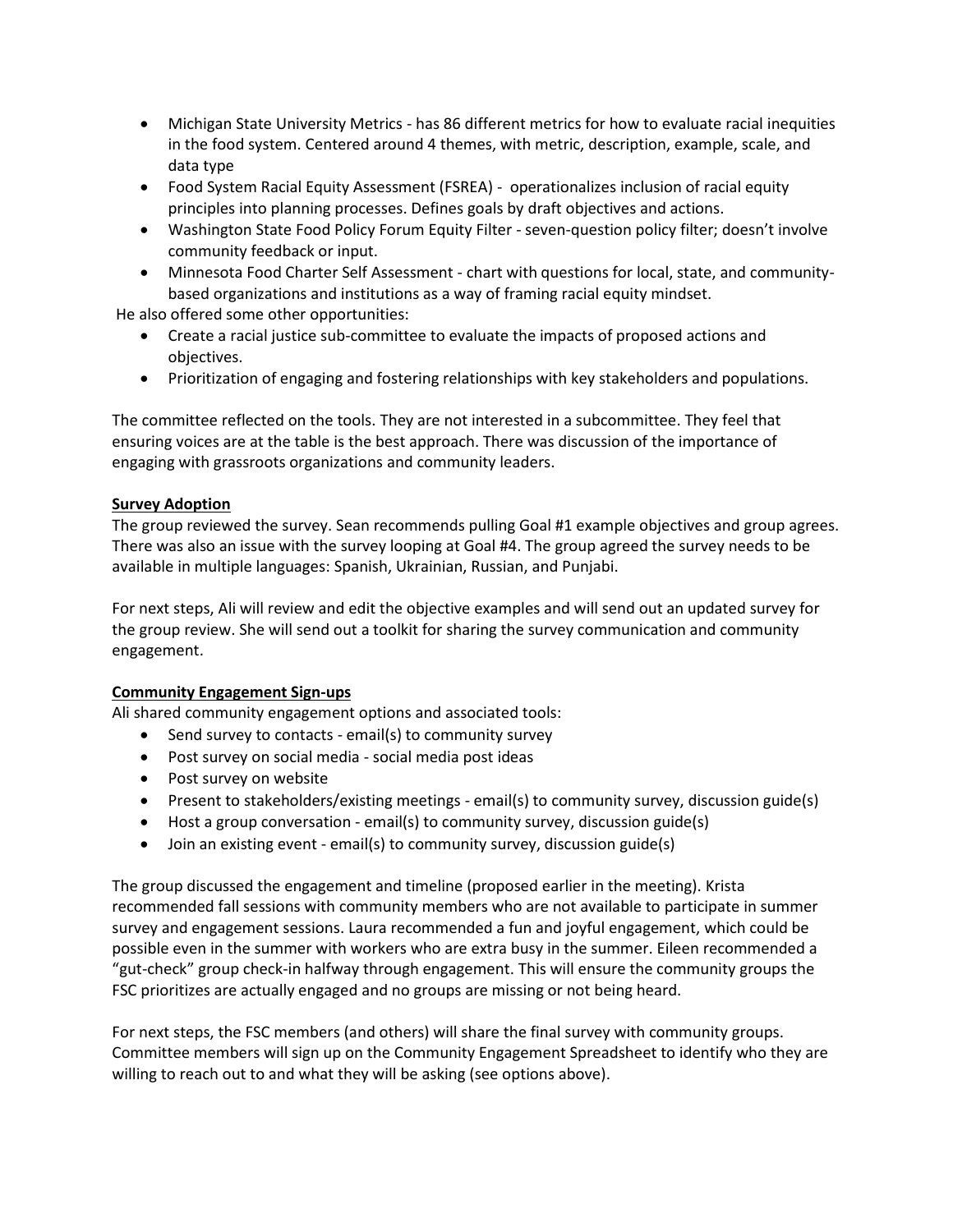- Michigan State University Metrics has 86 different metrics for how to evaluate racial inequities in the food system. Centered around 4 themes, with metric, description, example, scale, and data type
- Food System Racial Equity Assessment (FSREA) operationalizes inclusion of racial equity principles into planning processes. Defines goals by draft objectives and actions.
- Washington State Food Policy Forum Equity Filter seven-question policy filter; doesn't involve community feedback or input.
- Minnesota Food Charter Self Assessment chart with questions for local, state, and communitybased organizations and institutions as a way of framing racial equity mindset.

He also offered some other opportunities:

- Create a racial justice sub-committee to evaluate the impacts of proposed actions and objectives.
- Prioritization of engaging and fostering relationships with key stakeholders and populations.

The committee reflected on the tools. They are not interested in a subcommittee. They feel that ensuring voices are at the table is the best approach. There was discussion of the importance of engaging with grassroots organizations and community leaders.

#### **Survey Adoption**

The group reviewed the survey. Sean recommends pulling Goal #1 example objectives and group agrees. There was also an issue with the survey looping at Goal #4. The group agreed the survey needs to be available in multiple languages: Spanish, Ukrainian, Russian, and Punjabi.

For next steps, Ali will review and edit the objective examples and will send out an updated survey for the group review. She will send out a toolkit for sharing the survey communication and community engagement.

#### **Community Engagement Sign-ups**

Ali shared community engagement options and associated tools:

- Send survey to contacts email(s) to community survey
- Post survey on social media social media post ideas
- Post survey on website
- Present to stakeholders/existing meetings email(s) to community survey, discussion guide(s)
- Host a group conversation email(s) to community survey, discussion guide(s)
- Join an existing event email(s) to community survey, discussion guide(s)

The group discussed the engagement and timeline (proposed earlier in the meeting). Krista recommended fall sessions with community members who are not available to participate in summer survey and engagement sessions. Laura recommended a fun and joyful engagement, which could be possible even in the summer with workers who are extra busy in the summer. Eileen recommended a "gut-check" group check-in halfway through engagement. This will ensure the community groups the FSC prioritizes are actually engaged and no groups are missing or not being heard.

For next steps, the FSC members (and others) will share the final survey with community groups. Committee members will sign up on the Community Engagement Spreadsheet to identify who they are willing to reach out to and what they will be asking (see options above).